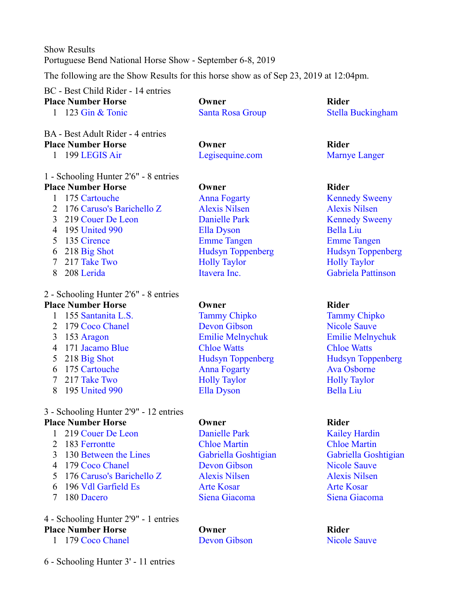Show Results Portuguese Bend National Horse Show - September 6-8, 2019

The following are the Show Results for this horse show as of Sep 23, 2019 at 12:04pm.

|                | BC - Best Child Rider - 14 entries     |                          |                           |
|----------------|----------------------------------------|--------------------------|---------------------------|
|                | <b>Place Number Horse</b>              | Owner                    | <b>Rider</b>              |
| 1              | 123 Gin & Tonic                        | <b>Santa Rosa Group</b>  | <b>Stella Buckingham</b>  |
|                | BA - Best Adult Rider - 4 entries      |                          |                           |
|                | <b>Place Number Horse</b>              | Owner                    | <b>Rider</b>              |
|                | 1 199 LEGIS Air                        | Legisequine.com          | <b>Marnye Langer</b>      |
|                | 1 - Schooling Hunter 2'6" - 8 entries  |                          |                           |
|                | <b>Place Number Horse</b>              | Owner                    | <b>Rider</b>              |
| $\mathbf{1}$   | 175 Cartouche                          | <b>Anna Fogarty</b>      | <b>Kennedy Sweeny</b>     |
| 2              | 176 Caruso's Barichello Z              | <b>Alexis Nilsen</b>     | <b>Alexis Nilsen</b>      |
| 3              | 219 Couer De Leon                      | <b>Danielle Park</b>     | <b>Kennedy Sweeny</b>     |
| 4              | 195 United 990                         | <b>Ella Dyson</b>        | <b>Bella Liu</b>          |
| 5              | 135 Cirence                            | <b>Emme Tangen</b>       | <b>Emme Tangen</b>        |
| 6              | 218 Big Shot                           | <b>Hudsyn Toppenberg</b> | <b>Hudsyn Toppenberg</b>  |
| 7              | 217 Take Two                           | <b>Holly Taylor</b>      | <b>Holly Taylor</b>       |
| 8              | 208 Lerida                             | Itavera Inc.             | <b>Gabriela Pattinson</b> |
|                | 2 - Schooling Hunter 2'6" - 8 entries  |                          |                           |
|                | <b>Place Number Horse</b>              | Owner                    | <b>Rider</b>              |
| $\mathbf{1}$   | 155 Santanita L.S.                     | <b>Tammy Chipko</b>      | <b>Tammy Chipko</b>       |
| $\overline{2}$ | 179 Coco Chanel                        | <b>Devon Gibson</b>      | <b>Nicole Sauve</b>       |
| 3              | 153 Aragon                             | <b>Emilie Melnychuk</b>  | <b>Emilie Melnychuk</b>   |
| 4              | 171 Jacamo Blue                        | <b>Chloe Watts</b>       | <b>Chloe Watts</b>        |
| 5              | 218 Big Shot                           | <b>Hudsyn Toppenberg</b> | <b>Hudsyn Toppenberg</b>  |
| 6              | 175 Cartouche                          | <b>Anna Fogarty</b>      | <b>Ava Osborne</b>        |
| $\tau$         | 217 Take Two                           | <b>Holly Taylor</b>      | <b>Holly Taylor</b>       |
| 8              | 195 United 990                         | <b>Ella Dyson</b>        | <b>Bella Liu</b>          |
|                | 3 - Schooling Hunter 2'9" - 12 entries |                          |                           |
|                | <b>Place Number Horse</b>              | Owner                    | <b>Rider</b>              |
|                | 1 219 Couer De Leon                    | <b>Danielle Park</b>     | <b>Kailey Hardin</b>      |
| $\overline{2}$ | 183 Ferrontte                          | <b>Chloe Martin</b>      | <b>Chloe Martin</b>       |
| 3              | 130 Between the Lines                  | Gabriella Goshtigian     | Gabriella Goshtigian      |
| 4              | 179 Coco Chanel                        | <b>Devon Gibson</b>      | <b>Nicole Sauve</b>       |
| 5              | 176 Caruso's Barichello Z              | <b>Alexis Nilsen</b>     | <b>Alexis Nilsen</b>      |
|                |                                        |                          |                           |
| 6              | 196 Vdl Garfield Es                    | <b>Arte Kosar</b>        | <b>Arte Kosar</b>         |
| 7              | 180 Dacero                             | Siena Giacoma            | Siena Giacoma             |

## 4 - Schooling Hunter 2'9" - 1 entries **Place Number Horse Company Company Company Rider Rider**

- 179 Coco Chanel Devon Gibson Nicole Sauve
- 6 Schooling Hunter 3' 11 entries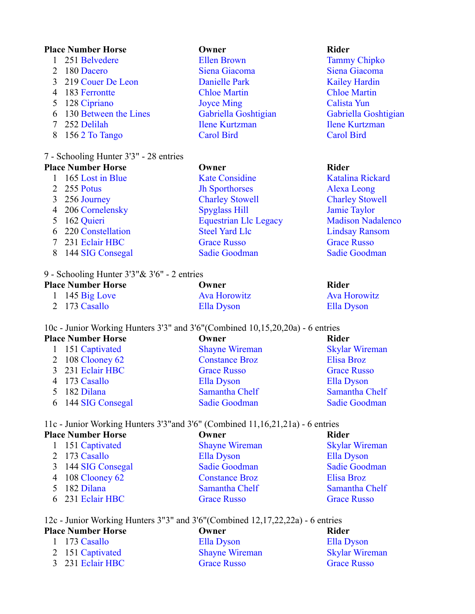### **Place Number Horse Owner Rider**

- 251 Belvedere Ellen Brown Tammy Chipko 180 Dacero Siena Giacoma Siena Giacoma 219 Couer De Leon Danielle Park Kailey Hardin 183 Ferrontte Chloe Martin Chloe Martin 5 128 Cipriano Joyce Ming Calista Yun 130 Between the Lines Gabriella Goshtigian Gabriella Goshtigian 252 Delilah Ilene Kurtzman Ilene Kurtzman 156 2 To Tango Carol Bird Carol Bird 7 - Schooling Hunter 3'3" - 28 entries **Place Number Horse Owner Rider** 1 165 Lost in Blue Kate Considine Katalina Rickard 255 Potus Jh Sporthorses Alexa Leong 256 Journey Charley Stowell Charley Stowell
	- 206 Cornelensky Spyglass Hill Jamie Taylor
	- 220 Constellation Steel Yard Llc Lindsay Ransom
	- 231 Eclair HBC Grace Russo Grace Russo
	- 8 144 SIG Consegal Sadie Goodman Sadie Goodman Sadie Goodman

## 9 - Schooling Hunter 3'3"& 3'6" - 2 entries

| <b>Place Number Horse</b> | Owner               | Rider               |
|---------------------------|---------------------|---------------------|
| 1 145 $Big Love$          | <b>Ava Horowitz</b> | <b>Ava Horowitz</b> |
| 2 173 Casallo             | Ella Dyson          | Ella Dyson          |

10c - Junior Working Hunters 3'3" and 3'6"(Combined 10,15,20,20a) - 6 entries

| <b>Place Number Horse</b> |                    | Owner                 | <b>Rider</b>          |  |
|---------------------------|--------------------|-----------------------|-----------------------|--|
|                           | 1 151 Captivated   | <b>Shayne Wireman</b> | <b>Skylar Wireman</b> |  |
|                           | 2 108 Clooney $62$ | <b>Constance Broz</b> | Elisa Broz            |  |
|                           | 3 231 Eclair HBC   | <b>Grace Russo</b>    | <b>Grace Russo</b>    |  |
|                           | 4 173 Casallo      | Ella Dyson            | Ella Dyson            |  |
|                           | 5 182 Dilana       | Samantha Chelf        | Samantha Chelf        |  |
|                           | 6 144 SIG Consegal | Sadie Goodman         | <b>Sadie Goodman</b>  |  |

## 11c - Junior Working Hunters 3'3"and 3'6" (Combined 11,16,21,21a) - 6 entries

| <b>Place Number Horse</b> | Owner                 | <b>Rider</b>          |  |
|---------------------------|-----------------------|-----------------------|--|
| 1 151 Captivated          | <b>Shayne Wireman</b> | <b>Skylar Wireman</b> |  |
| 2 173 Casallo             | Ella Dyson            | Ella Dyson            |  |
| 3 144 SIG Consegal        | Sadie Goodman         | <b>Sadie Goodman</b>  |  |
| 4 108 Clooney 62          | <b>Constance Broz</b> | Elisa Broz            |  |
| 5 182 Dilana              | Samantha Chelf        | Samantha Chelf        |  |
| 6 231 Eclair HBC          | <b>Grace Russo</b>    | <b>Grace Russo</b>    |  |
|                           |                       |                       |  |

## 12c - Junior Working Hunters 3"3" and 3'6"(Combined 12,17,22,22a) - 6 entries

| <b>Place Number Horse</b> |                  | Owner                 | Rider                 |
|---------------------------|------------------|-----------------------|-----------------------|
|                           | 1 173 Casallo    | Ella Dyson            | Ella Dyson            |
|                           | 2 151 Captivated | <b>Shayne Wireman</b> | <b>Skylar Wireman</b> |
|                           | 3 231 Eclair HBC | <b>Grace Russo</b>    | <b>Grace Russo</b>    |

5 162 Quieri Equestrian Llc Legacy Madison Nadalenco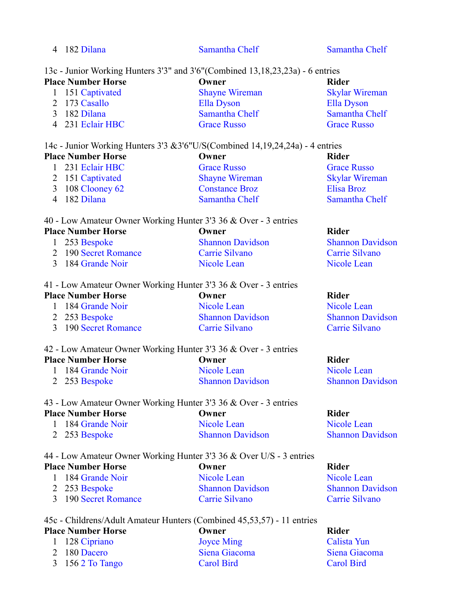| 182 Dilana                                                                     | Samantha Chelf        | Samantha Chelf        |
|--------------------------------------------------------------------------------|-----------------------|-----------------------|
| 13c - Junior Working Hunters 3'3" and 3'6" (Combined 13,18,23,23a) - 6 entries |                       |                       |
| <b>Place Number Horse</b>                                                      | Owner                 | <b>Rider</b>          |
| 1 151 Captivated                                                               | <b>Shayne Wireman</b> | <b>Skylar Wireman</b> |
| 2 173 Casallo                                                                  | Ella Dyson            | <b>Ella Dyson</b>     |
| 182 Dilana                                                                     | Samantha Chelf        | Samantha Chelf        |
| 4 231 Eclair HBC                                                               | <b>Grace Russo</b>    | <b>Grace Russo</b>    |

14c - Junior Working Hunters 3'3 &3'6"U/S(Combined 14,19,24,24a) - 4 entries

| <b>Place Number Horse</b> |                  | Owner                 | Rider                 |  |
|---------------------------|------------------|-----------------------|-----------------------|--|
|                           | 1 231 Eclair HBC | <b>Grace Russo</b>    | <b>Grace Russo</b>    |  |
|                           | 2 151 Captivated | <b>Shayne Wireman</b> | <b>Skylar Wireman</b> |  |
|                           | 3 108 Clooney 62 | <b>Constance Broz</b> | Elisa Broz            |  |
|                           | 4 182 Dilana     | Samantha Chelf        | Samantha Chelf        |  |

| <b>Place Number Horse</b> | Owner                                                           | Rider |
|---------------------------|-----------------------------------------------------------------|-------|
|                           | 40 - Low Amateur Owner Working Hunter 3'3 36 & Over - 3 entries |       |

| <b>Shannon Davidson</b>                                    | <b>Shannon Davidson</b> |
|------------------------------------------------------------|-------------------------|
| Carrie Silvano                                             | Carrie Silvano          |
| Nicole Lean                                                | Nicole Lean             |
| 1 253 Bespoke<br>2 190 Secret Romance<br>3 184 Grande Noir |                         |

### 41 - Low Amateur Owner Working Hunter 3'3 36 & Over - 3 entries

| <b>Place Number Horse</b> | Owner                   | Rider                   |
|---------------------------|-------------------------|-------------------------|
| 1 184 Grande Noir         | Nicole Lean             | Nicole Lean             |
| 2 253 Bespoke             | <b>Shannon Davidson</b> | <b>Shannon Davidson</b> |
| 3 190 Secret Romance      | Carrie Silvano          | Carrie Silvano          |

## 42 - Low Amateur Owner Working Hunter 3'3 36 & Over - 3 entries

| <b>Place Number Horse</b> | Owner                   | Rider        |
|---------------------------|-------------------------|--------------|
| 1 184 Grande Noir         | Nicole Lean             | Nicole       |
| 2 253 Bespoke             | <b>Shannon Davidson</b> | <b>Shann</b> |

## 43 - Low Amateur Owner Working Hunter 3'3 36 & Over - 3 entries **Place Number Horse Owner COMPANY Rider** 1 184 Grande Noir Nicole Lean Nicole Lean

2 253 Bespoke Shannon Davidson Shannon Davidson

|  | 44 - Low Amateur Owner Working Hunter 3'3 36 & Over U/S - 3 entries |                         |                      |
|--|---------------------------------------------------------------------|-------------------------|----------------------|
|  | <b>Place Number Horse</b>                                           | Owner                   | Rider                |
|  | 1 184 Grande Noir                                                   | Nicole Lean             | Nicole Lean          |
|  | 2 253 Bespoke                                                       | <b>Shannon Davidson</b> | <b>Shannon David</b> |
|  | 3 190 Secret Romance                                                | Carrie Silvano          | Carrie Silvano       |

| 45c - Childrens/Adult Amateur Hunters (Combined 45,53,57) - 11 entries |
|------------------------------------------------------------------------|
|------------------------------------------------------------------------|

## **Place Number Horse Owner COMPANY Rider** 1 128 Cipriano Joyce Ming Calista Yun 2 180 Dacero Siena Giacoma Siena Giacoma 3 156 2 To Tango Carol Bird Carol Bird

**Shannon Davidson** 

Nicole Lean

**Shannon Davidson**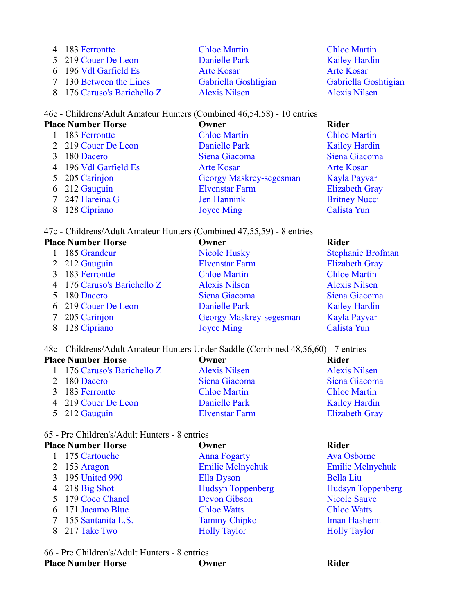| 4 183 Ferrontte             | <b>Chloe Martin</b>  |
|-----------------------------|----------------------|
| 5 219 Couer De Leon         | Danielle Park        |
| 6 196 Vdl Garfield Es       | <b>Arte Kosar</b>    |
| 7 130 Between the Lines     | Gabriella Goshtigian |
| 8 176 Caruso's Barichello Z | <b>Alexis Nilsen</b> |

## **Chloe Martin** Kailey Hardin Arte Kosar Gabriella Goshtigian Alexis Nilsen

## 46c - Childrens/Adult Amateur Hunters (Combined 46,54,58) - 10 entries

## **Place Number Horse Company Company Company Rider Rider** 1 183 Ferrontte Chloe Martin Chloe Martin 2 219 Couer De Leon Danielle Park Kailey Hardin 3 180 Dacero Siena Giacoma Siena Giacoma 4 196 Vdl Garfield Es Arte Kosar Arte Kosar Arte Kosar 5 205 Carinjon Georgy Maskrey-segesman Kayla Payvar 6 212 Gauguin Elvenstar Farm Elizabeth Gray 7 247 Hareina G Jen Hannink Britney Nucci 8 128 Cipriano Joyce Ming Calista Yun

47c - Childrens/Adult Amateur Hunters (Combined 47,55,59) - 8 entries

| <b>Place Number Horse</b>   | Owner                          | <b>Rider</b>             |
|-----------------------------|--------------------------------|--------------------------|
| 185 Grandeur                | <b>Nicole Husky</b>            | <b>Stephanie Brofman</b> |
| 2 212 Gauguin               | <b>Elvenstar Farm</b>          | <b>Elizabeth Gray</b>    |
| 183 Ferrontte               | <b>Chloe Martin</b>            | <b>Chloe Martin</b>      |
| 4 176 Caruso's Barichello Z | <b>Alexis Nilsen</b>           | <b>Alexis Nilsen</b>     |
| 180 Dacero                  | Siena Giacoma                  | Siena Giacoma            |
| 6 219 Couer De Leon         | Danielle Park                  | <b>Kailey Hardin</b>     |
| 205 Carinjon                | <b>Georgy Maskrey-segesman</b> | Kayla Payvar             |
| 128 Cipriano                | <b>Joyce Ming</b>              | Calista Yun              |
|                             |                                |                          |

48c - Childrens/Adult Amateur Hunters Under Saddle (Combined 48,56,60) - 7 entries

| <b>Place Number Horse</b> |                             | Owner                 | <b>Rider</b>          |
|---------------------------|-----------------------------|-----------------------|-----------------------|
|                           | 1 176 Caruso's Barichello Z | <b>Alexis Nilsen</b>  | <b>Alexis Nilsen</b>  |
|                           | 2 180 Dacero                | Siena Giacoma         | Siena Giacoma         |
|                           | 3 183 Ferrontte             | <b>Chloe Martin</b>   | <b>Chloe Martin</b>   |
|                           | 4 219 Couer De Leon         | Danielle Park         | <b>Kailey Hardin</b>  |
|                           | 5 212 Gauguin               | <b>Elvenstar Farm</b> | <b>Elizabeth Gray</b> |

## 65 - Pre Children's/Adult Hunters - 8 entries

| <b>Place Number Horse</b> |                       | Owner                    | <b>Rider</b>             |
|---------------------------|-----------------------|--------------------------|--------------------------|
|                           | 175 Cartouche         | <b>Anna Fogarty</b>      | Ava Osborne              |
|                           | 2 153 Aragon          | <b>Emilie Melnychuk</b>  | <b>Emilie Melnychuk</b>  |
|                           | 3 195 United 990      | Ella Dyson               | <b>Bella Liu</b>         |
|                           | $4\quad 218$ Big Shot | <b>Hudsyn Toppenberg</b> | <b>Hudsyn Toppenberg</b> |
|                           | 5 179 Coco Chanel     | Devon Gibson             | <b>Nicole Sauve</b>      |
|                           | 6 171 Jacamo Blue     | <b>Chloe Watts</b>       | <b>Chloe Watts</b>       |
|                           | 155 Santanita L.S.    | <b>Tammy Chipko</b>      | Iman Hashemi             |
| 8                         | 217 Take Two          | <b>Holly Taylor</b>      | <b>Holly Taylor</b>      |

66 - Pre Children's/Adult Hunters - 8 entries **Place Number Horse Owner Rider**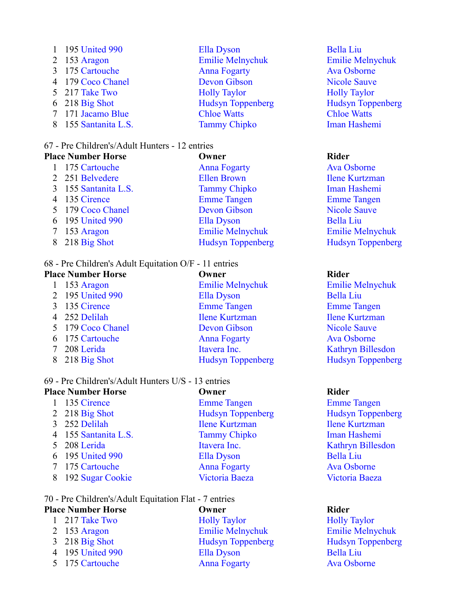| 1 195 United 990     | Ella Dyson               |
|----------------------|--------------------------|
| 2 153 Aragon         | <b>Emilie Melnychuk</b>  |
| 3 175 Cartouche      | <b>Anna Fogarty</b>      |
| 4 179 Coco Chanel    | <b>Devon Gibson</b>      |
| 5 217 Take Two       | <b>Holly Taylor</b>      |
| $6$ 218 Big Shot     | <b>Hudsyn Toppenberg</b> |
| 7 171 Jacamo Blue    | <b>Chloe Watts</b>       |
| 8 155 Santanita L.S. | <b>Tammy Chipko</b>      |
|                      |                          |

## 67 - Pre Children's/Adult Hunters - 12 entries

## **Place Number Horse Owner Rider** 1 175 Cartouche Anna Fogarty Ava Osborne 2 251 Belvedere Ellen Brown Ilene Kurtzman 3 155 Santanita L.S. Tammy Chipko Iman Hashemi 4 135 Cirence Emme Tangen Emme Tangen 5 179 Coco Chanel Devon Gibson Nicole Sauve 6 195 United 990 Ella Dyson Bella Liu 7 153 Aragon Emilie Melnychuk Emilie Melnychuk 8 218 Big Shot Hudsyn Toppenberg Hudsyn Toppenberg

## 68 - Pre Children's Adult Equitation O/F - 11 entries

| <b>Place Number Horse</b> |                   | Owner                    | <b>Rider</b>             |
|---------------------------|-------------------|--------------------------|--------------------------|
|                           | 153 Aragon        | <b>Emilie Melnychuk</b>  | <b>Emilie Melnychuk</b>  |
|                           | 2 195 United 990  | Ella Dyson               | <b>Bella Liu</b>         |
|                           | 135 Cirence       | <b>Emme Tangen</b>       | <b>Emme Tangen</b>       |
|                           | 4 252 Delilah     | <b>Ilene Kurtzman</b>    | <b>Ilene Kurtzman</b>    |
|                           | 5 179 Coco Chanel | <b>Devon Gibson</b>      | <b>Nicole Sauve</b>      |
|                           | 6 175 Cartouche   | <b>Anna Fogarty</b>      | <b>Ava Osborne</b>       |
|                           | 208 Lerida        | Itavera Inc.             | Kathryn Billesdon        |
|                           | 218 Big Shot      | <b>Hudsyn Toppenberg</b> | <b>Hudsyn Toppenberg</b> |
|                           |                   |                          |                          |

## 69 - Pre Children's/Adult Hunters U/S - 13 entries

| <b>Place Number Horse</b> | Owner                    | <b>Rider</b>        |
|---------------------------|--------------------------|---------------------|
| 135 Cirence               | <b>Emme Tangen</b>       | Emme Ta             |
| 2 218 Big Shot            | <b>Hudsyn Toppenberg</b> | Hudsyn <sub>1</sub> |
| 3 252 Delilah             | <b>Ilene Kurtzman</b>    | <b>Ilene Kur</b>    |
| 4 155 Santanita L.S.      | <b>Tammy Chipko</b>      | <b>Iman Has</b>     |
| 5 208 Lerida              | Itavera Inc.             | Kathryn 1           |
| 6 195 United 990          | Ella Dyson               | <b>Bella Liu</b>    |
| 7 175 Cartouche           | <b>Anna Fogarty</b>      | <b>Ava Osbo</b>     |
| 8 192 Sugar Cookie        | Victoria Baeza           | Victoria I          |
|                           |                          |                     |

### 70 - Pre Children's/Adult Equitation Flat -

| <b>Place Number Horse</b> | Owner               | Rider |
|---------------------------|---------------------|-------|
| 1 $217$ Take Two          | <b>Holly Taylor</b> | Holly |
| $\sim$                    |                     |       |

- 
- 
- 5 175 Cartouche Anna Fogarty Ava Osborne

| - Pre Children's/Adult Equitation Flat - 7 entries |                          |                         |
|----------------------------------------------------|--------------------------|-------------------------|
| lace Number Horse                                  | Owner                    | <b>Rider</b>            |
| 1 217 Take Two                                     | <b>Holly Taylor</b>      | <b>Holly Taylor</b>     |
| 2 153 Aragon                                       | <b>Emilie Melnychuk</b>  | <b>Emilie Melnychuk</b> |
| $3\quad 218$ Big Shot                              | <b>Hudsyn Toppenberg</b> | Hudsyn Toppenberg       |
| 4 195 United 990                                   | Ella Dyson               | <b>Bella Liu</b>        |
| 5 175 Cartouche                                    | Anna Fogarty             | Ava Oshorne             |

Bella Liu Emilie Melnychuk Ava Osborne Nicole Sauve **Holly Taylor** Hudsyn Toppenberg **Chloe Watts** Iman Hashemi

**Emme Tangen** Hudsyn Toppenberg **Ilene Kurtzman** Iman Hashemi Kathryn Billesdon Ava Osborne Victoria Baeza

**Holly Taylor** 3 218 Big Shot Hudsyn Toppenberg Hudsyn Toppenberg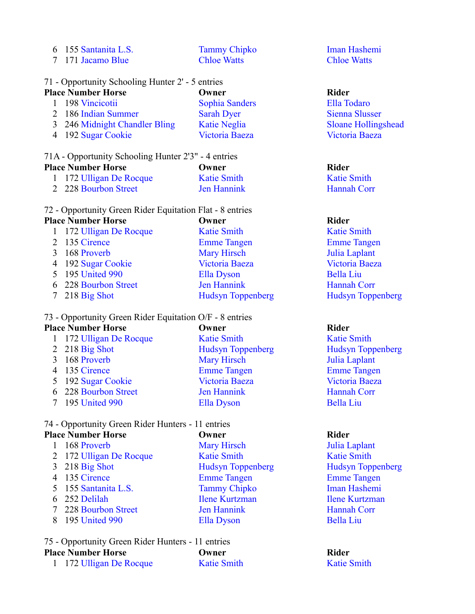|  |  |  | 6 155 Santanita L.S. |  |
|--|--|--|----------------------|--|
|--|--|--|----------------------|--|

7 171 Jacamo Blue Chloe Watts Chloe Watts

# Tammy Chipko Iman Hashemi

## 71 - Opportunity Schooling Hunter 2' - 5 entries

| <b>Place Number Horse</b>     | Owner                 | <b>Rider</b> |
|-------------------------------|-----------------------|--------------|
| 1 198 Vincicotii              | <b>Sophia Sanders</b> | Ella T       |
| 2 186 Indian Summer           | <b>Sarah Dyer</b>     | Sienna       |
| 3 246 Midnight Chandler Bling | <b>Katie Neglia</b>   | Sloan        |
| 4 192 Sugar Cookie            | Victoria Baeza        | Victor       |

### 71A - Opportunity Schooling Hunter 2'3" - 4 entries

| <b>Place Number Horse</b> |                         | Owner              | Rider              |
|---------------------------|-------------------------|--------------------|--------------------|
|                           | 1 172 Ulligan De Rocque | <b>Katie Smith</b> | <b>Katie Smith</b> |
|                           | 2 228 Bourbon Street    | <b>Jen Hannink</b> | <b>Hannah Corr</b> |

### 72 - Opportunity Green Rider Equitation Flat - 8 entries

### **Place Number Horse Owner Rider**

| 1 172 Ulligan De Rocque | <b>Katie Smith</b>       | <b>Katie Smith</b>       |
|-------------------------|--------------------------|--------------------------|
| 2 135 Cirence           | <b>Emme Tangen</b>       | <b>Emme Tangen</b>       |
| 3 168 Proverb           | <b>Mary Hirsch</b>       | Julia Laplant            |
| 4 192 Sugar Cookie      | Victoria Baeza           | Victoria Baeza           |
| 5 195 United 990        | Ella Dyson               | <b>Bella Liu</b>         |
| 6 228 Bourbon Street    | Jen Hannink              | Hannah Corr              |
| $7\quad 218$ Big Shot   | <b>Hudsyn Toppenberg</b> | <b>Hudsyn Toppenberg</b> |
|                         |                          |                          |

## 73 - Opportunity Green Rider Equitation O/F - 8 entries

## **Place Number Horse Owner Rider**

| 1 172 Ulligan De Rocque | <b>Katie Smith</b>       | <b>Katie Sm</b>     |
|-------------------------|--------------------------|---------------------|
| 2 218 Big Shot          | <b>Hudsyn Toppenberg</b> | Hudsyn <sub>1</sub> |
| 3 168 Proverb           | <b>Mary Hirsch</b>       | Julia Lap           |
| 4 135 Cirence           | <b>Emme Tangen</b>       | <b>Emme</b> Ta      |
| 5 192 Sugar Cookie      | Victoria Baeza           | Victoria I          |
| 6 228 Bourbon Street    | Jen Hannink              | Hannah (            |
| 7 195 United 990        | Ella Dyson               | <b>Bella Liu</b>    |

## 74 - Opportunity Green Rider Hunters - 11 entries

| <b>Place Number Horse</b> | Owner                    | <b>Rider</b>        |
|---------------------------|--------------------------|---------------------|
| 168 Proverb               | <b>Mary Hirsch</b>       | Julia Lap           |
| 2 172 Ulligan De Rocque   | <b>Katie Smith</b>       | <b>Katie Sm</b>     |
| $3$ 218 Big Shot          | <b>Hudsyn Toppenberg</b> | Hudsyn <sub>1</sub> |
| 4 135 Cirence             | <b>Emme Tangen</b>       | <b>Emme</b> Ta      |
| 5 155 Santanita L.S.      | <b>Tammy Chipko</b>      | <b>Iman Has</b>     |
| 6 252 Delilah             | <b>Ilene Kurtzman</b>    | <b>Ilene Kur</b>    |
| 7 228 Bourbon Street      | Jen Hannink              | Hannah C            |
| 195 United 990            | Ella Dyson               | <b>Bella Liu</b>    |
|                           |                          |                     |
|                           |                          |                     |

## 75 - Opportunity Green Rider Hunters - 11 entries **Place Number Horse Owner Rider**

|  | 1 172 Ulligan De Rocque | <b>Katie Smith</b> | <b>Katie Smith</b> |
|--|-------------------------|--------------------|--------------------|
|--|-------------------------|--------------------|--------------------|

Ella Todaro Sienna Slusser Sloane Hollingshead Victoria Baeza

**Katie Smith** 

1 172 Ulligan De Smith Katie Smith 2 218 Big Shot Hudsyn Toppenberg Hudsyn Toppenberg <sup>7</sup> Hirsch Julia Laplant e Tangen Emme Tangen 5 192 Sugar Cookie Victoria Baeza Victoria Baeza Francisco Street Hannah Corr

Julia Laplant Katie Smith erg Hudsyn Toppenberg **Emme Tangen** Iman Hashemi **Ilene Kurtzman** Hannah Corr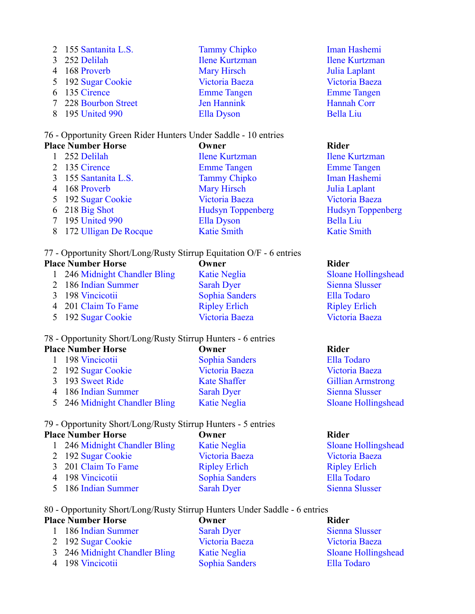| 2 155 Santanita L.S. | <b>Tammy Chipko</b>   | <b>Iman Has</b>  |
|----------------------|-----------------------|------------------|
| 3 252 Delilah        | <b>Ilene Kurtzman</b> | <b>Ilene Kur</b> |
| 4 168 Proverb        | <b>Mary Hirsch</b>    | Julia Lap        |
| 5 192 Sugar Cookie   | Victoria Baeza        | Victoria I       |
| 6 135 Cirence        | <b>Emme Tangen</b>    | <b>Emme</b> Ta   |
| 7 228 Bourbon Street | Jen Hannink           | Hannah (         |
| 8 195 United 990     | Ella Dyson            | <b>Bella Liu</b> |

## 76 - Opportunity Green Rider Hunters Under Saddle - 10 entries

| <b>Place Number Horse</b> |                       | Owner                    | <b>Rider</b>          |
|---------------------------|-----------------------|--------------------------|-----------------------|
|                           | 252 Delilah           | <b>Ilene Kurtzman</b>    | <b>Ilene Kurtzman</b> |
|                           | 2 135 Cirence         | <b>Emme Tangen</b>       | <b>Emme Tangen</b>    |
|                           | 3 155 Santanita L.S.  | <b>Tammy Chipko</b>      | Iman Hashemi          |
|                           | 4 168 Proverb         | <b>Mary Hirsch</b>       | Julia Laplant         |
|                           | 5 192 Sugar Cookie    | Victoria Baeza           | Victoria Baeza        |
|                           | $6\quad 218$ Big Shot | <b>Hudsyn Toppenberg</b> | <b>Hudsyn Toppen</b>  |
|                           | 7 195 United 990      | <b>Ella Dyson</b>        | <b>Bella Liu</b>      |
| 8                         | 172 Ulligan De Rocque | <b>Katie Smith</b>       | <b>Katie Smith</b>    |
|                           |                       |                          |                       |

77 - Opportunity Short/Long/Rusty Stirrup Equitation O/F - 6 entries

## **Place Number Horse Owner Rider**

| 1 246 Midnight Chandler Bling | <b>Katie Negl</b>  |
|-------------------------------|--------------------|
| 2 186 Indian Summer           | <b>Sarah Dyes</b>  |
| 3 198 Vincicotii              | Sophia Sar         |
| 4 201 Claim To Fame           | <b>Ripley Erli</b> |
| 5 192 Sugar Cookie            | Victoria Ba        |
|                               |                    |

### 78 - Opportunity Short/Long/Rusty Stirrup Hunters - 6 entries

| <b>Place Number Horse</b>     | Owner                 | Rider                      |
|-------------------------------|-----------------------|----------------------------|
| 198 Vincicotii                | <b>Sophia Sanders</b> | Ella Todaro                |
| 2 192 Sugar Cookie            | Victoria Baeza        | Victoria Baeza             |
| 3 193 Sweet Ride              | <b>Kate Shaffer</b>   | <b>Gillian Armstrong</b>   |
| 4 186 Indian Summer           | <b>Sarah Dyer</b>     | Sienna Slusser             |
| 5 246 Midnight Chandler Bling | <b>Katie Neglia</b>   | <b>Sloane Hollingshead</b> |
|                               |                       |                            |

## 79 - Opportunity Short/Long/Rusty Stirrup Hunters - 5 entries

| <b>Place Number Horse</b> |                               | Owner                 | <b>Rider</b>               |  |
|---------------------------|-------------------------------|-----------------------|----------------------------|--|
|                           | 1 246 Midnight Chandler Bling | <b>Katie Neglia</b>   | <b>Sloane Hollingshead</b> |  |
|                           | 2 192 Sugar Cookie            | Victoria Baeza        | Victoria Baeza             |  |
|                           | 3 201 Claim To Fame           | <b>Ripley Erlich</b>  | <b>Ripley Erlich</b>       |  |
|                           | 4 198 Vincicotii              | <b>Sophia Sanders</b> | Ella Todaro                |  |
|                           | 5 186 Indian Summer           | <b>Sarah Dyer</b>     | <b>Sienna Slusser</b>      |  |
|                           |                               |                       |                            |  |

## 80 - Opportunity Short/Long/Rusty Stirrup Hunters Under Saddle - 6 entries

## **Place Number Horse Owner COMPANY Rider**

- 2 192 Sugar Cookie Victoria Baeza Victoria Baeza
- 3 246 Midnight Chandler Bling Katie Neglia Sloane Hollingshead
- 4 198 Vincicotii Sophia Sanders Ella Todaro
- 1 186 Indian Summer Sarah Dyer Sienna Slusser
- 

Iman Hashemi **Ilene Kurtzman** Julia Laplant Victoria Baeza **Emme Tangen** Hannah Corr

n Toppenberg

lia 246 Sloane Holling Shead **2 186 Indian Summer Sienna Slusser** nders Ella Todaro 4 201 Claim To Fame Ripley Erlich Ripley Erlich 5 192 Sugar Cookie Victoria Baeza Victoria Baeza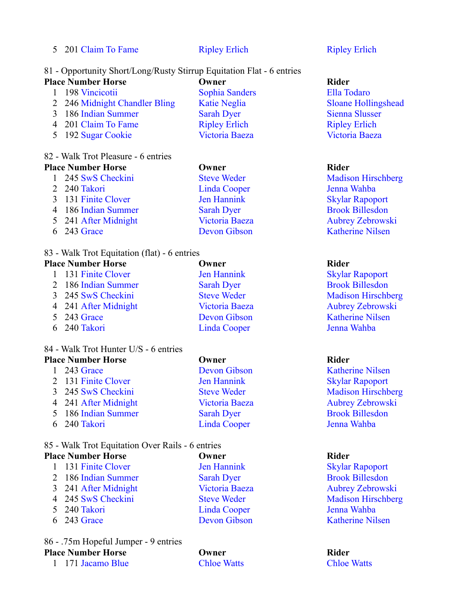5 201 Claim To Fame Ripley Erlich Ripley Erlich

### 81 - Opportunity Short/Long/Rusty Stirrup Equitation Flat - 6 entries

| <b>Place Number Horse</b>     | Owner                 | <b>Rider</b>               |
|-------------------------------|-----------------------|----------------------------|
| 198 Vincicotii                | <b>Sophia Sanders</b> | Ella Todaro                |
| 2 246 Midnight Chandler Bling | <b>Katie Neglia</b>   | <b>Sloane Hollingshead</b> |
| 3 186 Indian Summer           | <b>Sarah Dyer</b>     | <b>Sienna Slusser</b>      |
| 4 201 Claim To Fame           | <b>Ripley Erlich</b>  | <b>Ripley Erlich</b>       |
| 5 192 Sugar Cookie            | Victoria Baeza        | Victoria Baeza             |
|                               |                       |                            |

### 82 - Walk Trot Pleasure - 6 entries **Place Number Horse Owner Rider**

| 1 245 SwS Checkini   | <b>Steve Weder</b>  | <b>Madison Hirschb</b>  |
|----------------------|---------------------|-------------------------|
| 2 240 Takori         | <b>Linda Cooper</b> | Jenna Wahba             |
| 3 131 Finite Clover  | Jen Hannink         | <b>Skylar Rapoport</b>  |
| 4 186 Indian Summer  | <b>Sarah Dyer</b>   | <b>Brook Billesdon</b>  |
| 5 241 After Midnight | Victoria Baeza      | <b>Aubrey Zebrowsl</b>  |
| $6\quad243$ Grace    | Devon Gibson        | <b>Katherine Nilsen</b> |

## 83 - Walk Trot Equitation (flat) - 6 entries

## **Place Number Horse Owner Rider**

| 1 131 Finite Clover  | Jer           |
|----------------------|---------------|
| 2 186 Indian Summer  | Sa            |
| 3 245 SwS Checkini   | $St \epsilon$ |
| 4 241 After Midnight | Vi            |
| 5 243 Grace          | De            |
| 6 240 Takori         | Lit           |
|                      |               |

## 84 - Walk Trot Hunter U/S - 6 entries

| <b>Place Number Horse</b> |                      | Owner               | <b>Rider</b>         |
|---------------------------|----------------------|---------------------|----------------------|
|                           | 1 243 Grace          | Devon Gibson        | <b>Katherine Nil</b> |
|                           | 2 131 Finite Clover  | Jen Hannink         | <b>Skylar Rapop</b>  |
|                           | 3 245 SwS Checkini   | <b>Steve Weder</b>  | <b>Madison Hirs</b>  |
|                           | 4 241 After Midnight | Victoria Baeza      | <b>Aubrey Zebro</b>  |
|                           | 5 186 Indian Summer  | <b>Sarah Dyer</b>   | <b>Brook Billesc</b> |
|                           | 6 240 Takori         | <b>Linda Cooper</b> | Jenna Wahba          |

## 85 - Walk Trot Equitation Over Rails - 6 entries

| <b>Place Number Horse</b> |                      | Owner               |               |
|---------------------------|----------------------|---------------------|---------------|
|                           | 1 131 Finite Clover  | Jen Hannink         | <b>Skylar</b> |
|                           | 2 186 Indian Summer  | <b>Sarah Dyer</b>   | <b>Brook</b>  |
|                           | 3 241 After Midnight | Victoria Baeza      | Aubre         |
|                           | 4 245 SwS Checkini   | <b>Steve Weder</b>  | Madis         |
|                           | 5 240 Takori         | <b>Linda Cooper</b> | Jenna         |
|                           | 6 243 Grace          | Devon Gibson        | Kather        |
|                           |                      |                     |               |

86 - .75m Hopeful Jumper - 9 entries **Place Number Horse Owner Rider** 1 171 Jacamo Blue Chloe Watts Chloe Watts

eder Madison Hirschberg 2 221 Jenna Wahba

Baeza Aubrey Zebrowski

n Hannink Skylar Rapoport **2 186 Indian Summer Summer Series Summer Series Summer Series Summer Series Summer Series Summer Series Summer Series Summer Series Summer Series Summer Series Summer Series Summer Series Summer Series Summer Series Summe** eve Weder Madison Hirschberg etoria Baeza **Aubrey Zebrowski** External Grace Devon Gibson Katherine Nilsen nda Cooper Jenna Wahba

1 243 Devon Gibson Katherine Nilsen **2 131 Jen Hannink Skylar Rapoport** Steve Weder Madison Hirschberg Victoria Baeza Aubrey Zebrowski Sarah Dyer Brook Billesdon

131 Jen Hannink Skylar Rapoport **2 186 Sarah Dyer Brook Billesdon** Victoria Baeza Aubrey Zebrowski Steve Weder Madison Hirschberg Linda Cooper Jenna Wahba **Devon Gibson** Katherine Nilsen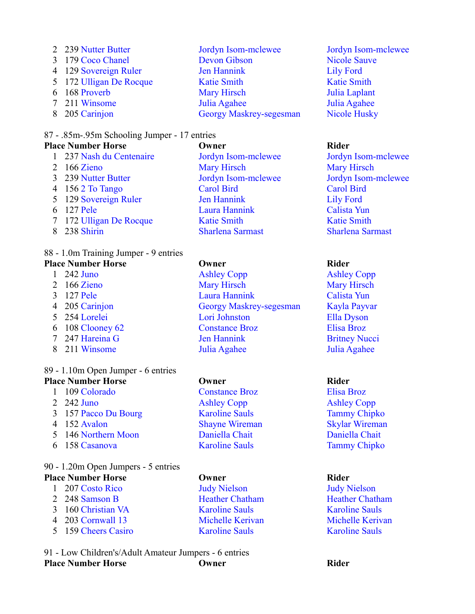239 Nutter Butter Jordyn Isom-mclewee Jordyn Isom-mclewee 179 Coco Chanel Devon Gibson Nicole Sauve 129 Sovereign Ruler Jen Hannink Lily Ford 5 172 Ulligan De Rocque Katie Smith Katie Smith 168 Proverb Mary Hirsch Julia Laplant 211 Winsome Julia Agahee Julia Agahee 205 Carinjon Georgy Maskrey-segesman Nicole Husky

## 87 - .85m-.95m Schooling Jumper - 17 entries

**Place Number Horse Owner Rider** 237 Nash du Centenaire Jordyn Isom-mclewee Jordyn Isom-mclewee 166 Zieno Mary Hirsch Mary Hirsch 239 Nutter Butter Jordyn Isom-mclewee Jordyn Isom-mclewee 156 2 To Tango Carol Bird Carol Bird 5 129 Sovereign Ruler Jen Hannink Lily Ford 127 Pele Laura Hannink Calista Yun 7 172 Ulligan De Rocque Katie Smith Katie Smith 238 Shirin Sharlena Sarmast Sharlena Sarmast

## 88 - 1.0m Training Jumper - 9 entries

**Place Number Horse Owner Rider** 242 Juno Ashley Copp Ashley Copp 166 Zieno Mary Hirsch Mary Hirsch 127 Pele Laura Hannink Calista Yun 205 Carinjon Georgy Maskrey-segesman Kayla Payvar 254 Lorelei Lori Johnston Ella Dyson 108 Clooney 62 Constance Broz Elisa Broz 247 Hareina G Jen Hannink Britney Nucci 211 Winsome Julia Agahee Julia Agahee

## 89 - 1.10m Open Jumper - 6 entries

- **Place Number Horse Owner Rider** 109 Colorado Constance Broz Elisa Broz
	-
	-
	-
	-
	-

### 90 - 1.20m Open Jumpers - 5 entries **Place Number Horse Owner Rider**

- 207 Costo Rico Judy Nielson Judy Nielson
- 
- 160 Christian VA Karoline Sauls Karoline Sauls
- 
- 159 Cheers Casiro Karoline Sauls Karoline Sauls

91 - Low Children's/Adult Amateur Jumpers - 6 entries **Place Number Horse Owner Rider**

 242 Juno Ashley Copp Ashley Copp 157 Pacco Du Bourg Karoline Sauls Tammy Chipko 152 Avalon Shayne Wireman Skylar Wireman 146 Northern Moon Daniella Chait Daniella Chait 158 Casanova Karoline Sauls Tammy Chipko

2 248 Samson B Heather Chatham Heather Chatham Heather Chatham 203 Cornwall 13 Michelle Kerivan Michelle Kerivan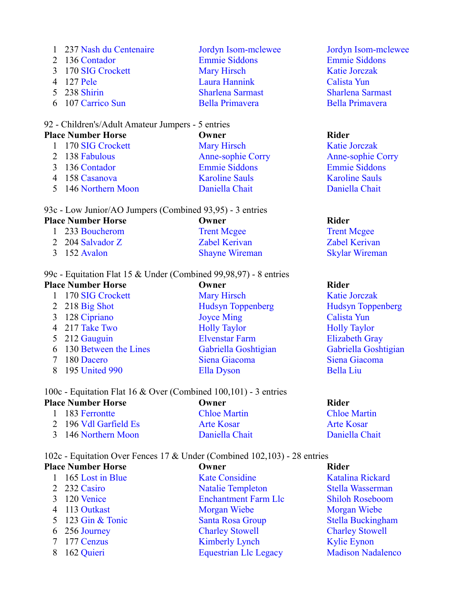| 1 237 Nash du Centenaire | Jordyn Isom-mclewee     |
|--------------------------|-------------------------|
| 2 136 Contador           | <b>Emmie Siddons</b>    |
| 3 170 SIG Crockett       | <b>Mary Hirsch</b>      |
| 4 127 Pele               | Laura Hannink           |
| 5 238 Shirin             | <b>Sharlena Sarmast</b> |
| 6 107 Carrico Sun        | <b>Bella Primavera</b>  |

## 92 - Children's/Adult Amateur Jumpers - 5 entries

| <b>Place Number Horse</b> |                     | Owner                    | <b>Rider</b> |
|---------------------------|---------------------|--------------------------|--------------|
|                           | 1 170 SIG Crockett  | <b>Mary Hirsch</b>       | Katie        |
|                           | 2 138 Fabulous      | <b>Anne-sophie Corry</b> | Anne-        |
|                           | 3 136 Contador      | <b>Emmie Siddons</b>     | Emmi         |
|                           | 4 158 Casanova      | <b>Karoline Sauls</b>    | Karoli       |
|                           | 5 146 Northern Moon | Daniella Chait           | Danie        |

|  |  | 93c - Low Junior/AO Jumpers (Combined 93,95) - 3 entries |  |  |
|--|--|----------------------------------------------------------|--|--|
|  |  |                                                          |  |  |

| <b>Place Number Horse</b> | Owner                 | Rider                 |
|---------------------------|-----------------------|-----------------------|
| 1 233 Boucherom           | <b>Trent Mcgee</b>    | <b>Trent Mcgee</b>    |
| 2 204 Salvador Z          | <b>Zabel Kerivan</b>  | <b>Zabel Kerivan</b>  |
| 3 152 Avalon              | <b>Shayne Wireman</b> | <b>Skylar Wireman</b> |

## 99c - Equitation Flat 15 & Under (Combined 99,98,97) - 8 entries

| <b>Place Number Horse</b> |                         | Owner                    | <b>Rider</b>             |  |
|---------------------------|-------------------------|--------------------------|--------------------------|--|
|                           | 170 SIG Crockett        | <b>Mary Hirsch</b>       | <b>Katie Jorczak</b>     |  |
|                           | 2 218 Big Shot          | <b>Hudsyn Toppenberg</b> | <b>Hudsyn Toppenberg</b> |  |
|                           | 3 128 Cipriano          | <b>Joyce Ming</b>        | Calista Yun              |  |
|                           | 4 217 Take Two          | <b>Holly Taylor</b>      | <b>Holly Taylor</b>      |  |
|                           | 5 212 Gauguin           | <b>Elvenstar Farm</b>    | <b>Elizabeth Gray</b>    |  |
|                           | 6 130 Between the Lines | Gabriella Goshtigian     | Gabriella Goshtigian     |  |
|                           | 180 Dacero              | Siena Giacoma            | Siena Giacoma            |  |
|                           | 195 United 990          | <b>Ella Dyson</b>        | <b>Bella Liu</b>         |  |
|                           |                         |                          |                          |  |

Jordyn Isom-mclewee Emmie Siddons Katie Jorczak Calista Yun Sharlena Sarmast Bella Primavera

Katie Jorczak Anne-sophie Corry Emmie Siddons **Karoline Sauls** Daniella Chait

## 100c - Equitation Flat 16 & Over (Combined 100,101) - 3 entries

| <b>Place Number Horse</b> | Owner               | Rider               |  |
|---------------------------|---------------------|---------------------|--|
| 1 183 Ferrontte           | <b>Chloe Martin</b> | <b>Chloe Martin</b> |  |
| 2 196 Vdl Garfield Es     | Arte Kosar          | Arte Kosar          |  |
| 3 146 Northern Moon       | Daniella Chait      | Daniella Chait      |  |

102c - Equitation Over Fences 17 & Under (Combined 102,103) - 28 entries

| <b>Place Number Horse</b> | Owner                        | <b>Rider</b>             |
|---------------------------|------------------------------|--------------------------|
| 165 Lost in Blue          | <b>Kate Considine</b>        | Katalina Rickard         |
| 2 232 Casiro              | <b>Natalie Templeton</b>     | Stella Wasserman         |
| 120 Venice                | <b>Enchantment Farm Llc</b>  | <b>Shiloh Roseboom</b>   |
| 4 113 Outkast             | Morgan Wiebe                 | Morgan Wiebe             |
| 5 123 Gin & Tonic         | Santa Rosa Group             | <b>Stella Buckingham</b> |
| 6 256 Journey             | <b>Charley Stowell</b>       | <b>Charley Stowell</b>   |
| 7 177 Cenzus              | <b>Kimberly Lynch</b>        | <b>Kylie Eynon</b>       |
| 162 Quieri                | <b>Equestrian Llc Legacy</b> | <b>Madison Nadalenco</b> |
|                           |                              |                          |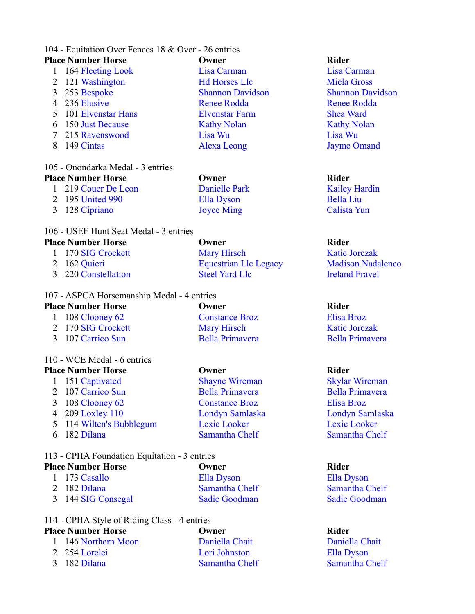### 104 - Equitation Over Fences 18 & Over - 26 entries **Place Number Horse Company Company Company Rider Rider**

- 1 164 Fleeting Look Lisa Carman Lisa Carman 2 121 Washington Hd Horses Llc Miela Gross 3 253 Bespoke Shannon Davidson Shannon Davidson 4 236 Elusive Renee Rodda Renee Rodda Renee Rodda 5 101 Elvenstar Hans Elvenstar Farm Shea Ward 6 150 Just Because **Kathy Nolan** Kathy Nolan Kathy Nolan Kathy Nolan 7 215 Ravenswood Lisa Wu Lisa Wu
- 

### 105 - Onondarka Medal - 3 entries **Place Number Horse Owner Rider**

- 1 219 Couer De Leon Danielle Park Kailey Hardin
- 8 149 Cintas Alexa Leong Jayme Omand

2 195 United 990 Ella Dyson Bella Liu

## 106 - USEF Hunt Seat Medal - 3 entries

## **Place Number Horse Owner Rider**

1 170 SIG Crockett Mary Hirsch Katie Jorczak 2 162 Quieri **Equestrian Llc Legacy** Madison Nadalenco 3 220 Constellation Steel Yard Llc Ireland Fravel

## 107 - ASPCA Horsemanship Medal - 4 entries

## **Place Number Horse Owner Rider** 1 108 Clooney 62 Constance Broz Elisa Broz 2 170 SIG Crockett Mary Hirsch Katie Jorczak 3 107 Carrico Sun Bella Primavera Bella Primavera

## 110 - WCE Medal - 6 entries

## **Place Number Horse Owner Rider** 1 151 Captivated Shayne Wireman Skylar Wireman 2 107 Carrico Sun Bella Primavera Bella Primavera 3 108 Clooney 62 Constance Broz Elisa Broz 4 209 Loxley 110 Londyn Samlaska Londyn Samlaska 5 114 Wilten's Bubblegum Lexie Looker Lexie Looker 6 182 Dilana Samantha Chelf Samantha Chelf

## 113 - CPHA Foundation Equitation - 3 entries

- **Place Number Horse Owner Rider** 1 173 Casallo Ella Dyson Ella Dyson 2 182 Dilana Samantha Chelf Samantha Chelf
	- 3 144 SIG Consegal Sadie Goodman Sadie Goodman

## 114 - CPHA Style of Riding Class - 4 entries

## **Place Number Horse Owner Rider**

- 1 146 Northern Moon Daniella Chait Daniella Chait 2 254 Lorelei Lori Johnston Ella Dyson
- 

3 128 Cipriano Joyce Ming Calista Yun

3 182 Dilana Samantha Chelf Samantha Chelf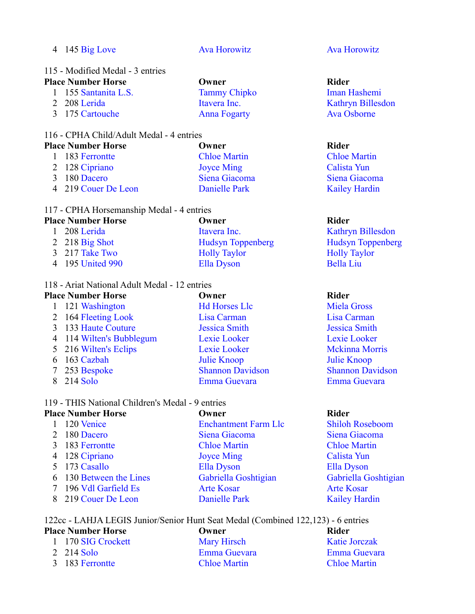| $4\quad 145$ Big Love            | <b>Ava Horowitz</b> | <b>Ava Horowitz</b> |
|----------------------------------|---------------------|---------------------|
| 115 - Modified Medal - 3 entries |                     |                     |
| <b>Place Number Horse</b>        | Owner               | Rider               |
| 1 155 Santanita L.S.             | <b>Tammy Chipko</b> | Iman Hashemi        |

2 208 Lerida Itavera Inc. Kathryn Billesdon 175 Cartouche Anna Fogarty Ava Osborne

## 116 - CPHA Child/Adult Medal - 4 entries

| <b>Place Number Horse</b> |                     | Owner               | <b>Rider</b>         |  |
|---------------------------|---------------------|---------------------|----------------------|--|
|                           | 1 183 Ferrontte     | <b>Chloe Martin</b> | <b>Chloe Martin</b>  |  |
|                           | 2 128 Cipriano      | <b>Joyce Ming</b>   | Calista Yun          |  |
|                           | 3 180 Dacero        | Siena Giacoma       | Siena Giacoma        |  |
|                           | 4 219 Couer De Leon | Danielle Park       | <b>Kailey Hardin</b> |  |

## 117 - CPHA Horsemanship Medal - 4 entries

| <b>Place Number Horse</b> | Owner                    | Rider                    |  |
|---------------------------|--------------------------|--------------------------|--|
| 208 Lerida                | Itavera Inc.             | Kathryn Billesdon        |  |
| 2 218 Big Shot            | <b>Hudsyn Toppenberg</b> | <b>Hudsyn Toppenberg</b> |  |
| 3 217 Take Two            | <b>Holly Taylor</b>      | <b>Holly Taylor</b>      |  |
| 4 195 United 990          | Ella Dyson               | <b>Bella Liu</b>         |  |
|                           |                          |                          |  |

## 118 - Ariat National Adult Medal - 12 entries

|                 | <b>Place Number Horse</b> | Owner                   | <b>Rider</b>            |  |
|-----------------|---------------------------|-------------------------|-------------------------|--|
|                 | 121 Washington            | <b>Hd Horses Llc</b>    | <b>Miela Gross</b>      |  |
|                 | 2 164 Fleeting Look       | Lisa Carman             | Lisa Carman             |  |
|                 | 3 133 Haute Couture       | <b>Jessica Smith</b>    | <b>Jessica Smith</b>    |  |
|                 | 4 114 Wilten's Bubblegum  | Lexie Looker            | Lexie Looker            |  |
|                 | 5 216 Wilten's Eclips     | Lexie Looker            | <b>Mckinna Morris</b>   |  |
| 6               | 163 Cazbah                | Julie Knoop             | Julie Knoop             |  |
| $7\phantom{.0}$ | 253 Bespoke               | <b>Shannon Davidson</b> | <b>Shannon Davidson</b> |  |
|                 | 8 214 Solo                | Emma Guevara            | Emma Guevara            |  |

## 119 - THIS National Children's Medal - 9 entries

|   | <b>Place Number Horse</b> | Owner                       | <b>Rider</b>           |  |
|---|---------------------------|-----------------------------|------------------------|--|
|   | 120 Venice                | <b>Enchantment Farm Llc</b> | <b>Shiloh Roseboom</b> |  |
|   | 180 Dacero                | Siena Giacoma               | Siena Giacoma          |  |
| 3 | 183 Ferrontte             | <b>Chloe Martin</b>         | <b>Chloe Martin</b>    |  |
|   | 4 128 Cipriano            | <b>Joyce Ming</b>           | Calista Yun            |  |
|   | 5 173 Casallo             | Ella Dyson                  | Ella Dyson             |  |
|   | 6 130 Between the Lines   | Gabriella Goshtigian        | Gabriella Goshtigian   |  |
|   | 7 196 Vdl Garfield Es     | <b>Arte Kosar</b>           | <b>Arte Kosar</b>      |  |
|   | 8 219 Couer De Leon       | Danielle Park               | <b>Kailey Hardin</b>   |  |
|   |                           |                             |                        |  |

## 122cc - LAHJA LEGIS Junior/Senior Hunt Seat Medal (Combined 122,123) - 6 entries

## **Place Number Horse Owner COMPANY Rider** 1 170 SIG Crockett 1 170 Mary Hirsch Katie Jorczak<br>2 214 Solo Emma Guevara 1 Emma Guevara Emma Guevara **Emma Guevara** 183 Ferrontte Chloe Martin Chloe Martin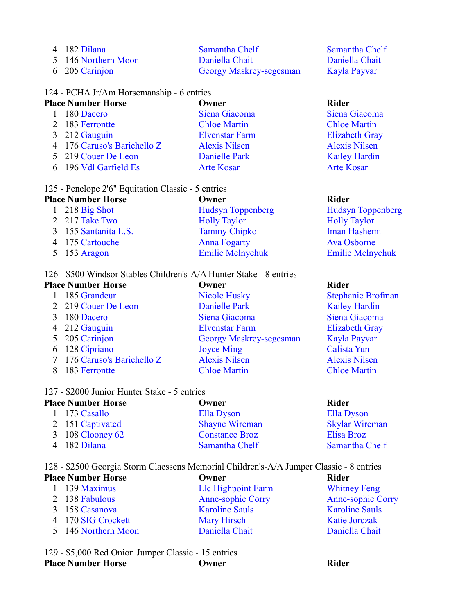| 4 182 Dilana        | Samantha Chelf          |  |
|---------------------|-------------------------|--|
| 5 146 Northern Moon | Daniella Chait          |  |
| 6 205 Carinjon      | Georgy Maskrey-segesman |  |

## 124 - PCHA Jr/Am Horsemanship - 6 entries

| <b>Place Number Horse</b> |                             | Owner                 | <b>Rider</b>          |  |
|---------------------------|-----------------------------|-----------------------|-----------------------|--|
|                           | 180 Dacero                  | Siena Giacoma         | Siena Giacoma         |  |
|                           | 2 183 Ferrontte             | <b>Chloe Martin</b>   | <b>Chloe Martin</b>   |  |
|                           | 3 212 Gauguin               | <b>Elvenstar Farm</b> | <b>Elizabeth Gray</b> |  |
|                           | 4 176 Caruso's Barichello Z | <b>Alexis Nilsen</b>  | <b>Alexis Nilsen</b>  |  |
|                           | 5 219 Couer De Leon         | Danielle Park         | <b>Kailey Hardin</b>  |  |
|                           | 6 196 Vdl Garfield Es       | <b>Arte Kosar</b>     | <b>Arte Kosar</b>     |  |
|                           |                             |                       |                       |  |

## 125 - Penelope 2'6" Equitation Classic - 5 entries

| <b>Place Number Horse</b> | Owner                    | <b>Rider</b>             |  |
|---------------------------|--------------------------|--------------------------|--|
| 1 218 Big Shot            | <b>Hudsyn Toppenberg</b> | <b>Hudsyn Toppenberg</b> |  |
| 2 217 Take Two            | <b>Holly Taylor</b>      | <b>Holly Taylor</b>      |  |
| 3 155 Santanita L.S.      | <b>Tammy Chipko</b>      | Iman Hashemi             |  |
| 4 175 Cartouche           | <b>Anna Fogarty</b>      | Ava Osborne              |  |
| 5 $153$ Aragon            | <b>Emilie Melnychuk</b>  | <b>Emilie Melnychuk</b>  |  |

## 126 - \$500 Windsor Stables Children's-A/A Hunter Stake - 8 entries

| <b>Place Number Horse</b>   | Owner                          |                       |
|-----------------------------|--------------------------------|-----------------------|
| 185 Grandeur                | <b>Nicole Husky</b>            | <b>Stephanie Brof</b> |
| 2 219 Couer De Leon         | Danielle Park                  | <b>Kailey Hardin</b>  |
| 3 180 Dacero                | Siena Giacoma                  | Siena Giacoma         |
| 4 212 Gauguin               | <b>Elvenstar Farm</b>          | <b>Elizabeth Gray</b> |
| 5 205 Carinjon              | <b>Georgy Maskrey-segesman</b> | Kayla Payvar          |
| 6 128 Cipriano              | <b>Joyce Ming</b>              | Calista Yun           |
| 7 176 Caruso's Barichello Z | <b>Alexis Nilsen</b>           | <b>Alexis Nilsen</b>  |
| 183 Ferrontte               | <b>Chloe Martin</b>            | <b>Chloe Martin</b>   |

## 127 - \$2000 Junior Hunter Stake - 5 entries

| <b>Place Number Horse</b> |                  | Owner                 | Rider                 |
|---------------------------|------------------|-----------------------|-----------------------|
|                           | 1 173 Casallo    | Ella Dyson            | Ella Dyson            |
|                           | 2 151 Captivated | <b>Shayne Wireman</b> | <b>Skylar Wireman</b> |
|                           | 3 108 Clooney 62 | <b>Constance Broz</b> | Elisa Broz            |
|                           | 4 182 Dilana     | Samantha Chelf        | Samantha Chelf        |

128 - \$2500 Georgia Storm Claessens Memorial Children's-A/A Jumper Classic - 8 entries

| <b>Place Number Horse</b> |                      | Owner                    | Rider                    |  |
|---------------------------|----------------------|--------------------------|--------------------------|--|
|                           | $1\quad 139$ Maximus | Lle Highpoint Farm       | <b>Whitney Feng</b>      |  |
|                           | 2 138 Fabulous       | <b>Anne-sophie Corry</b> | <b>Anne-sophie Corry</b> |  |
|                           | 3 158 Casanova       | <b>Karoline Sauls</b>    | <b>Karoline Sauls</b>    |  |
|                           | 4 170 SIG Crockett   | Mary Hirsch              | <b>Katie Jorczak</b>     |  |
|                           | 5 146 Northern Moon  | Daniella Chait           | Daniella Chait           |  |

129 - \$5,000 Red Onion Jumper Classic - 15 entries **Place Number Horse Owner COMPANY Rider** 

amantha Chelf aniella Chait ayla Payvar

unie Brofman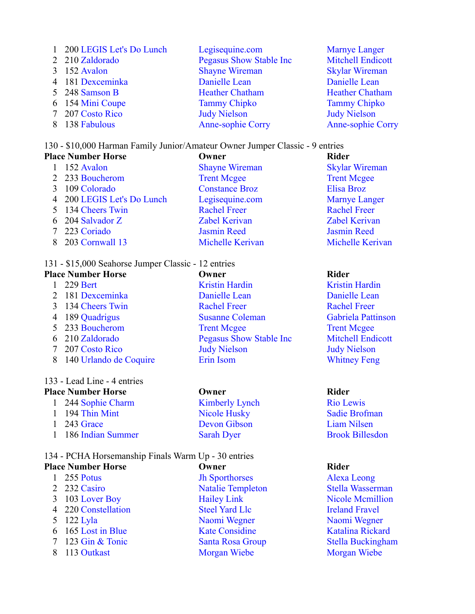| 1 200 LEGIS Let's Do Lunch | Legisequine.com                 | <b>Marnye Langer</b>     |
|----------------------------|---------------------------------|--------------------------|
| 2 210 Zaldorado            | <b>Pegasus Show Stable Inc.</b> | <b>Mitchell Endicott</b> |
| 3 152 Avalon               | <b>Shayne Wireman</b>           | <b>Skylar Wireman</b>    |
| 4 181 Dexceminka           | Danielle Lean                   | Danielle Lean            |
| 5 248 Samson B             | <b>Heather Chatham</b>          | <b>Heather Chatham</b>   |
| 6 154 Mini Coupe           | <b>Tammy Chipko</b>             | <b>Tammy Chipko</b>      |
| 7 207 Costo Rico           | <b>Judy Nielson</b>             | <b>Judy Nielson</b>      |
| 8 138 Fabulous             | <b>Anne-sophie Corry</b>        | <b>Anne-sophie Corry</b> |

## 130 - \$10,000 Harman Family Junior/Amateur Owner Jumper Classic - 9 entries

| <b>Place Number Horse</b>  | Owner                 | <b>Rider</b>            |  |
|----------------------------|-----------------------|-------------------------|--|
| 152 Avalon                 | <b>Shayne Wireman</b> | <b>Skylar Wireman</b>   |  |
| 2 233 Boucherom            | <b>Trent Mcgee</b>    | <b>Trent Mcgee</b>      |  |
| 109 Colorado               | <b>Constance Broz</b> | Elisa Broz              |  |
| 4 200 LEGIS Let's Do Lunch | Legisequine.com       | <b>Marnye Langer</b>    |  |
| 5 134 Cheers Twin          | <b>Rachel Freer</b>   | <b>Rachel Freer</b>     |  |
| 6 204 Salvador Z           | <b>Zabel Kerivan</b>  | <b>Zabel Kerivan</b>    |  |
| 7 223 Coriado              | <b>Jasmin Reed</b>    | <b>Jasmin Reed</b>      |  |
| 203 Cornwall 13            | Michelle Kerivan      | <b>Michelle Kerivan</b> |  |

## 131 - \$15,000 Seahorse Jumper Classic - 12 entries

| <b>Place Number Horse</b> | Owner                           | <b>Rider</b>  |  |
|---------------------------|---------------------------------|---------------|--|
| 229 Bert                  | <b>Kristin Hardin</b>           | Kristin       |  |
| 2 181 Dexceminka          | Danielle Lean                   | Danie         |  |
| 3 134 Cheers Twin         | <b>Rachel Freer</b>             | Rache         |  |
| 4 189 Quadrigus           | <b>Susanne Coleman</b>          | Gabrie        |  |
| 5 233 Boucherom           | <b>Trent Mcgee</b>              | Trent         |  |
| 6 210 Zaldorado           | <b>Pegasus Show Stable Inc.</b> | Mitch         |  |
| 7 207 Costo Rico          | <b>Judy Nielson</b>             | Judy $\Gamma$ |  |
| 8 140 Urlando de Coquire  | Erin Isom                       | Whitn         |  |
|                           |                                 |               |  |

## 133 - Lead Line - 4 entries

## **Place Number Horse Owner Rider**

| 1 244 Sophie Charm  | Kim  |
|---------------------|------|
| 1 194 Thin Mint     | Nice |
| $1\quad243$ Grace   | Dev  |
| 1 186 Indian Summer | Sara |
|                     |      |

## 134 - PCHA Horsemanship Finals Warm Up - 30 entries **Place Number Horse Company Company Company Rider Rider**

2 232 Casiro Natalie Templeton Stella Wasserman 3 103 Lover Boy Hailey Link Nicole Mcmillion 4 220 Constellation Steel Yard Llc Ireland Fravel 5 122 Lyla Naomi Wegner Naomi Wegner Naomi Wegner 6 165 Lost in Blue Kate Considine Katalina Rickard 7 123 Gin & Tonic Santa Rosa Group Stella Buckingham 8 113 Outkast Morgan Wiebe Morgan Wiebe

1 255 Potus Jh Sporthorses Alexa Leong

**Kristin Hardin** Danielle Lean **Rachel Freer** Gabriela Pattinson **Trent Mcgee** Mitchell Endicott Judy Nielson **Whitney Feng** 

1 1 244 Nie Lewis Rio Lewis 1 194 Nusley Sadie Brofman I 243 Grace Devon Gibson Liam Nilsen 1 186 ah Dyer Brook Billesdon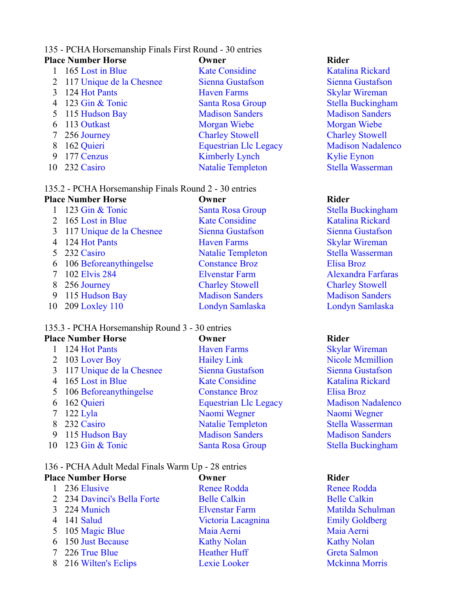## 135 - PCHA Horsemanship Finals First Round - 30 entries

|   | <b>Place Number Horse</b>  | Owner                        | <b>Rider</b>  |
|---|----------------------------|------------------------------|---------------|
|   | 165 Lost in Blue           | <b>Kate Considine</b>        | Katali        |
|   | 2 117 Unique de la Chesnee | Sienna Gustafson             | Sienna        |
|   | 3 124 Hot Pants            | <b>Haven Farms</b>           | <b>Skylar</b> |
|   | 4 123 Gin & Tonic          | Santa Rosa Group             | <b>Stella</b> |
|   | 5 115 Hudson Bay           | <b>Madison Sanders</b>       | Madis         |
|   | 6 113 Outkast              | Morgan Wiebe                 | Morga         |
|   | 7 256 Journey              | <b>Charley Stowell</b>       | Charle        |
| 8 | 162 Quieri                 | <b>Equestrian Llc Legacy</b> | Madis         |
| 9 | 177 Cenzus                 | <b>Kimberly Lynch</b>        | Kylie         |
|   | 10 232 Casiro              | <b>Natalie Templeton</b>     | <b>Stella</b> |
|   |                            |                              |               |

## 135.2 - PCHA Horsemanship Finals Round 2 - 30 entries

|              | <b>Place Number Horse</b>  | Owner                    | <b>Rider</b>  |
|--------------|----------------------------|--------------------------|---------------|
| $\mathbf{1}$ | 123 Gin & Tonic            | Santa Rosa Group         | <b>Stella</b> |
|              | 2 165 Lost in Blue         | <b>Kate Considine</b>    | Katali        |
|              | 3 117 Unique de la Chesnee | Sienna Gustafson         | Sienna        |
|              | 4 124 Hot Pants            | <b>Haven Farms</b>       | Skylar        |
|              | 5 232 Casiro               | <b>Natalie Templeton</b> | <b>Stella</b> |
|              | 6 106 Beforeanythingelse   | <b>Constance Broz</b>    | Elisa l       |
|              | 7 102 Elvis 284            | <b>Elvenstar Farm</b>    | Alexa         |
|              | 8 256 Journey              | <b>Charley Stowell</b>   | Charle        |
| 9            | 115 Hudson Bay             | <b>Madison Sanders</b>   | Madis         |
|              | 10 209 Loxley 110          | Londyn Samlaska          | Londy         |

## 135.3 - PCHA Horsemanship Round 3 - 30 entries

|   | <b>Place Number Horse</b>  | Owner                        | <b>Rider</b>  |
|---|----------------------------|------------------------------|---------------|
|   | 1 124 Hot Pants            | <b>Haven Farms</b>           | <b>Skylar</b> |
|   | 2 103 Lover Boy            | <b>Hailey Link</b>           | Nicole        |
|   | 3 117 Unique de la Chesnee | Sienna Gustafson             | Sienna        |
|   | 4 165 Lost in Blue         | <b>Kate Considine</b>        | Katali        |
|   | 5 106 Beforeanythingelse   | <b>Constance Broz</b>        | Elisa l       |
|   | 6 162 Quieri               | <b>Equestrian Llc Legacy</b> | Madis         |
|   | $7 \quad 122$ Lyla         | Naomi Wegner                 | Naom          |
|   | 8 232 Casiro               | <b>Natalie Templeton</b>     | <b>Stella</b> |
| 9 | 115 Hudson Bay             | <b>Madison Sanders</b>       | Madis         |
|   | 10 123 Gin & Tonic         | Santa Rosa Group             | <b>Stella</b> |

## 136 - PCHA Adult Medal Finals Warm Up - 28 entries

| <b>Place Number Horse</b>   | Owner                 | <b>Rider</b>          |  |
|-----------------------------|-----------------------|-----------------------|--|
| 236 Elusive                 | <b>Renee Rodda</b>    | <b>Renee Rodda</b>    |  |
| 2 234 Davinci's Bella Forte | <b>Belle Calkin</b>   | <b>Belle Calkin</b>   |  |
| 3 224 Munich                | <b>Elvenstar Farm</b> | Matilda Schulma       |  |
| 4 141 Salud                 | Victoria Lacagnina    | <b>Emily Goldberg</b> |  |
| 5 105 Magic Blue            | Maia Aerni            | Maia Aerni            |  |
| 6 150 Just Because          | <b>Kathy Nolan</b>    | <b>Kathy Nolan</b>    |  |
| 7 226 True Blue             | <b>Heather Huff</b>   | Greta Salmon          |  |
| 8 216 Wilten's Eclips       | Lexie Looker          | <b>Mckinna Morris</b> |  |
|                             |                       |                       |  |

# 1 236 Elusive Renee Rodda Renee Rodda lle Calkin Belle Calkin 5 105 Magic Blue Maia Aerni Maia Aerni thy Nolan Kathy Nolan ather Huff Greta Salmon

Katalina Rickard Sienna Gustafson **Skylar Wireman** Stella Buckingham **Madison Sanders** Morgan Wiebe **Charley Stowell** acy Madison Nadalenco Kylie Eynon Stella Wasserman

Stella Buckingham Katalina Rickard Sienna Gustafson **Skylar Wireman** Stella Wasserman Elisa Broz Alexandra Farfaras **Charley Stowell Madison Sanders** Londyn Samlaska

**Skylar Wireman** Nicole Mcmillion Sienna Gustafson Katalina Rickard Elisa Broz egacy Madison Nadalenco Naomi Wegner n 232 Stella Wasserman **Madison Sanders** Stella Buckingham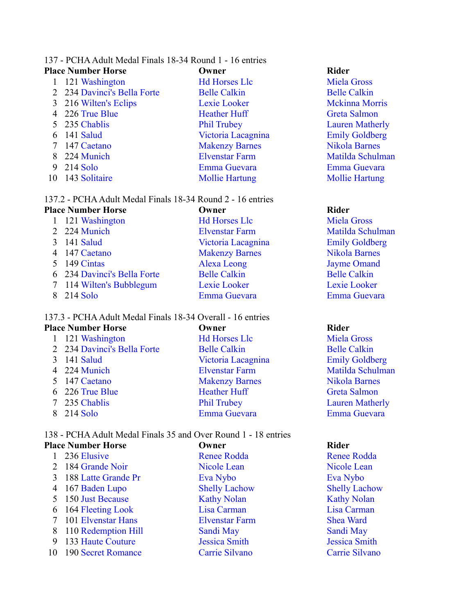## 137 - PCHA Adult Medal Finals 18-34 Round 1 - 16 entries

|    | <b>Place Number Horse</b>   | Owner                 | <b>Rider</b>           |
|----|-----------------------------|-----------------------|------------------------|
|    | 1 121 Washington            | <b>Hd Horses Llc</b>  | <b>Miela Gross</b>     |
|    | 2 234 Davinci's Bella Forte | <b>Belle Calkin</b>   | <b>Belle Calkin</b>    |
|    | 3 216 Wilten's Eclips       | Lexie Looker          | <b>Mckinna Morris</b>  |
|    | 4 226 True Blue             | <b>Heather Huff</b>   | <b>Greta Salmon</b>    |
|    | 5 235 Chablis               | <b>Phil Trubey</b>    | <b>Lauren Matherly</b> |
| 6  | 141 Salud                   | Victoria Lacagnina    | <b>Emily Goldberg</b>  |
| 7  | 147 Caetano                 | <b>Makenzy Barnes</b> | Nikola Barnes          |
|    | 8 224 Munich                | <b>Elvenstar Farm</b> | Matilda Schulm         |
| 9  | 214 Solo                    | Emma Guevara          | Emma Guevara           |
| 10 | 143 Solitaire               | <b>Mollie Hartung</b> | <b>Mollie Hartung</b>  |
|    |                             |                       |                        |

## 137.2 - PCHA Adult Medal Finals 18-34 Round 2 - 16 entries

| <b>Place Number Horse</b>   | Owner                 | <b>Rider</b>          |
|-----------------------------|-----------------------|-----------------------|
| 1 121 Washington            | <b>Hd Horses Llc</b>  | <b>Miela Gross</b>    |
| 2 224 Munich                | <b>Elvenstar Farm</b> | Matilda Schulman      |
| 141 Salud                   | Victoria Lacagnina    | <b>Emily Goldberg</b> |
| 4 147 Caetano               | <b>Makenzy Barnes</b> | <b>Nikola Barnes</b>  |
| 5 149 Cintas                | Alexa Leong           | <b>Jayme Omand</b>    |
| 6 234 Davinci's Bella Forte | <b>Belle Calkin</b>   | <b>Belle Calkin</b>   |
| 7 114 Wilten's Bubblegum    | Lexie Looker          | Lexie Looker          |
| 8 214 Solo                  | Emma Guevara          | Emma Guevara          |
|                             |                       |                       |

## 137.3 - PCHA Adult Medal Finals 18-34 Overall - 16 entries

|   | <b>Place Number Horse</b>   | Owner                 | <b>Rider</b>           |
|---|-----------------------------|-----------------------|------------------------|
|   | 121 Washington              | <b>Hd Horses Llc</b>  | <b>Miela Gross</b>     |
|   | 2 234 Davinci's Bella Forte | <b>Belle Calkin</b>   | <b>Belle Calkin</b>    |
|   | 3 141 Salud                 | Victoria Lacagnina    | <b>Emily Goldberg</b>  |
|   | 4 224 Munich                | <b>Elvenstar Farm</b> | Matilda Schulman       |
|   | 5 147 Caetano               | <b>Makenzy Barnes</b> | <b>Nikola Barnes</b>   |
|   | 6 226 True Blue             | <b>Heather Huff</b>   | Greta Salmon           |
| 7 | 235 Chablis                 | <b>Phil Trubey</b>    | <b>Lauren Matherly</b> |
|   | 8 214 Solo                  | Emma Guevara          | Emma Guevara           |
|   |                             |                       |                        |

### 138 - PCHA Adult Medal Finals 35 and Over Round 1 - 18 entries<br>Place Number Horse<br>Cwner **Place Number Horse Company Company Company Rider Rider**

| . насс тушшрст тібі эс | 1711 H.L              | nuvi                 |
|------------------------|-----------------------|----------------------|
| 1 236 Elusive          | <b>Renee Rodda</b>    | <b>Renee Rodda</b>   |
| 2 184 Grande Noir      | Nicole Lean           | Nicole Lean          |
| 3 188 Latte Grande Pr  | Eva Nybo              | Eva Nybo             |
| 4 167 Baden Lupo       | <b>Shelly Lachow</b>  | <b>Shelly Lachow</b> |
| 5 150 Just Because     | <b>Kathy Nolan</b>    | <b>Kathy Nolan</b>   |
| 6 164 Fleeting Look    | Lisa Carman           | Lisa Carman          |
| 7 101 Elvenstar Hans   | <b>Elvenstar Farm</b> | <b>Shea Ward</b>     |
| 8 110 Redemption Hill  | Sandi May             | Sandi May            |
| 9 133 Haute Couture    | <b>Jessica Smith</b>  | <b>Jessica Smith</b> |
| 10 190 Secret Romance  | Carrie Silvano        | Carrie Silvano       |

1 121 Miela Gross n **234 David Belle Calkin** er Mckinna Morris ff Greta Salmon Lauren Matherly cagnina Emily Goldberg arnes Nikola Barnes arm Matilda Schulman vara **9 21-** Emma Guevara